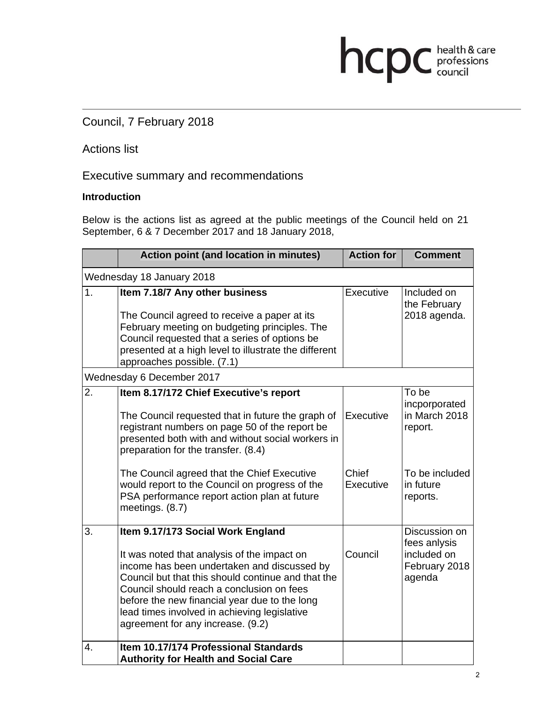# Council, 7 February 2018

## Actions list

### Executive summary and recommendations

### **Introduction**

Below is the actions list as agreed at the public meetings of the Council held on 21 September, 6 & 7 December 2017 and 18 January 2018,

hcpc health & care

|                           | <b>Action point (and location in minutes)</b>                                                                                                                                                                                                                                                                                                                            | <b>Action for</b>  | <b>Comment</b>                                                          |  |
|---------------------------|--------------------------------------------------------------------------------------------------------------------------------------------------------------------------------------------------------------------------------------------------------------------------------------------------------------------------------------------------------------------------|--------------------|-------------------------------------------------------------------------|--|
| Wednesday 18 January 2018 |                                                                                                                                                                                                                                                                                                                                                                          |                    |                                                                         |  |
| 1.                        | Item 7.18/7 Any other business<br>The Council agreed to receive a paper at its<br>February meeting on budgeting principles. The<br>Council requested that a series of options be<br>presented at a high level to illustrate the different<br>approaches possible. (7.1)                                                                                                  | Executive          | Included on<br>the February<br>2018 agenda.                             |  |
| Wednesday 6 December 2017 |                                                                                                                                                                                                                                                                                                                                                                          |                    |                                                                         |  |
| 2.                        | Item 8.17/172 Chief Executive's report<br>The Council requested that in future the graph of<br>registrant numbers on page 50 of the report be<br>presented both with and without social workers in<br>preparation for the transfer. (8.4)                                                                                                                                | Executive          | To be<br>incporporated<br>in March 2018<br>report.                      |  |
|                           | The Council agreed that the Chief Executive<br>would report to the Council on progress of the<br>PSA performance report action plan at future<br>meetings. (8.7)                                                                                                                                                                                                         | Chief<br>Executive | To be included<br>in future<br>reports.                                 |  |
| 3.                        | Item 9.17/173 Social Work England<br>It was noted that analysis of the impact on<br>income has been undertaken and discussed by<br>Council but that this should continue and that the<br>Council should reach a conclusion on fees<br>before the new financial year due to the long<br>lead times involved in achieving legislative<br>agreement for any increase. (9.2) | Council            | Discussion on<br>fees anlysis<br>included on<br>February 2018<br>agenda |  |
| 4.                        | Item 10.17/174 Professional Standards<br><b>Authority for Health and Social Care</b>                                                                                                                                                                                                                                                                                     |                    |                                                                         |  |